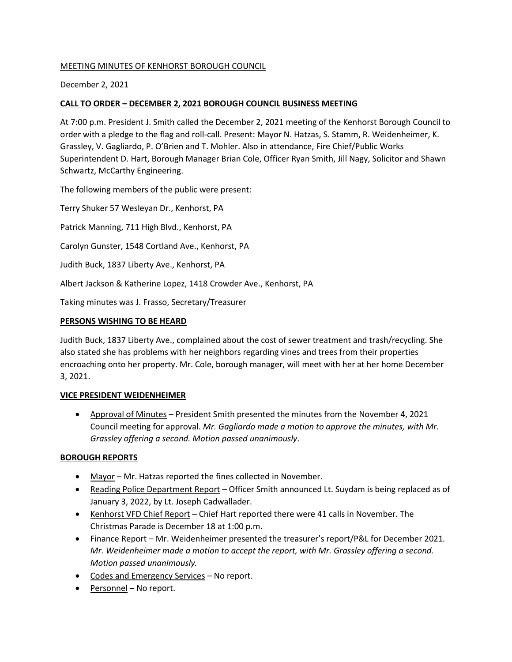# MEETING MINUTES OF KENHORST BOROUGH COUNCIL

## December 2, 2021

## **CALL TO ORDER – DECEMBER 2, 2021 BOROUGH COUNCIL BUSINESS MEETING**

At 7:00 p.m. President J. Smith called the December 2, 2021 meeting of the Kenhorst Borough Council to order with a pledge to the flag and roll-call. Present: Mayor N. Hatzas, S. Stamm, R. Weidenheimer, K. Grassley, V. Gagliardo, P. O'Brien and T. Mohler. Also in attendance, Fire Chief/Public Works Superintendent D. Hart, Borough Manager Brian Cole, Officer Ryan Smith, Jill Nagy, Solicitor and Shawn Schwartz, McCarthy Engineering.

The following members of the public were present:

Terry Shuker 57 Wesleyan Dr., Kenhorst, PA

Patrick Manning, 711 High Blvd., Kenhorst, PA

Carolyn Gunster, 1548 Cortland Ave., Kenhorst, PA

Judith Buck, 1837 Liberty Ave., Kenhorst, PA

Albert Jackson & Katherine Lopez, 1418 Crowder Ave., Kenhorst, PA

Taking minutes was J. Frasso, Secretary/Treasurer

#### **PERSONS WISHING TO BE HEARD**

Judith Buck, 1837 Liberty Ave., complained about the cost of sewer treatment and trash/recycling. She also stated she has problems with her neighbors regarding vines and trees from their properties encroaching onto her property. Mr. Cole, borough manager, will meet with her at her home December 3, 2021.

## **VICE PRESIDENT WEIDENHEIMER**

• Approval of Minutes – President Smith presented the minutes from the November 4, 2021 Council meeting for approval. *Mr. Gagliardo made a motion to approve the minutes, with Mr. Grassley offering a second. Motion passed unanimously*.

## **BOROUGH REPORTS**

- Mayor Mr. Hatzas reported the fines collected in November.
- Reading Police Department Report Officer Smith announced Lt. Suydam is being replaced as of January 3, 2022, by Lt. Joseph Cadwallader.
- Kenhorst VFD Chief Report Chief Hart reported there were 41 calls in November. The Christmas Parade is December 18 at 1:00 p.m.
- Finance Report Mr. Weidenheimer presented the treasurer's report/P&L for December 2021*. Mr. Weidenheimer made a motion to accept the report, with Mr. Grassley offering a second. Motion passed unanimously.*
- Codes and Emergency Services No report.
- Personnel No report.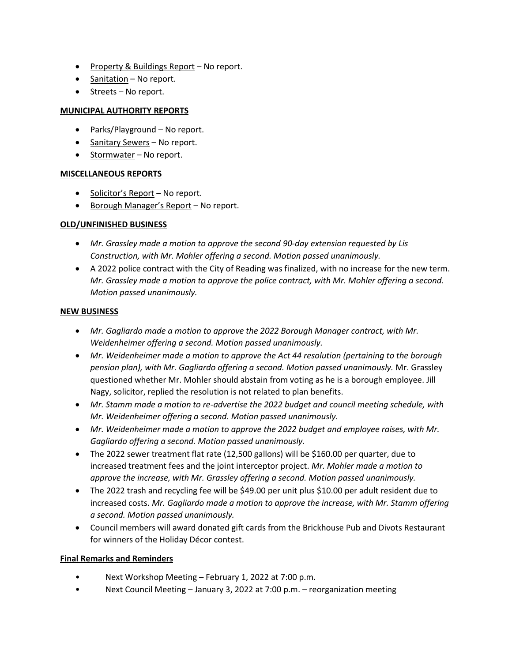- Property & Buildings Report No report.
- Sanitation No report.
- Streets No report.

## **MUNICIPAL AUTHORITY REPORTS**

- Parks/Playground No report.
- Sanitary Sewers No report.
- Stormwater No report.

## **MISCELLANEOUS REPORTS**

- Solicitor's Report No report.
- Borough Manager's Report No report.

## **OLD/UNFINISHED BUSINESS**

- *Mr. Grassley made a motion to approve the second 90-day extension requested by Lis Construction, with Mr. Mohler offering a second. Motion passed unanimously.*
- A 2022 police contract with the City of Reading was finalized, with no increase for the new term. *Mr. Grassley made a motion to approve the police contract, with Mr. Mohler offering a second. Motion passed unanimously.*

#### **NEW BUSINESS**

- *Mr. Gagliardo made a motion to approve the 2022 Borough Manager contract, with Mr. Weidenheimer offering a second. Motion passed unanimously.*
- *Mr. Weidenheimer made a motion to approve the Act 44 resolution (pertaining to the borough pension plan), with Mr. Gagliardo offering a second. Motion passed unanimously.* Mr. Grassley questioned whether Mr. Mohler should abstain from voting as he is a borough employee. Jill Nagy, solicitor, replied the resolution is not related to plan benefits.
- *Mr. Stamm made a motion to re-advertise the 2022 budget and council meeting schedule, with Mr. Weidenheimer offering a second. Motion passed unanimously.*
- *Mr. Weidenheimer made a motion to approve the 2022 budget and employee raises, with Mr. Gagliardo offering a second. Motion passed unanimously.*
- The 2022 sewer treatment flat rate (12,500 gallons) will be \$160.00 per quarter, due to increased treatment fees and the joint interceptor project. *Mr. Mohler made a motion to approve the increase, with Mr. Grassley offering a second. Motion passed unanimously.*
- The 2022 trash and recycling fee will be \$49.00 per unit plus \$10.00 per adult resident due to increased costs. *Mr. Gagliardo made a motion to approve the increase, with Mr. Stamm offering a second. Motion passed unanimously.*
- Council members will award donated gift cards from the Brickhouse Pub and Divots Restaurant for winners of the Holiday Décor contest.

## **Final Remarks and Reminders**

- Next Workshop Meeting February 1, 2022 at 7:00 p.m.
- Next Council Meeting January 3, 2022 at 7:00 p.m. reorganization meeting